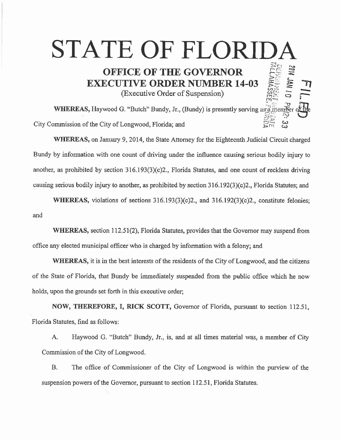# **STATE OF FLORIDA**   $\geq$

 $r^{\prime\prime} = \frac{1}{\sqrt{2}}$ 

 $\sum_{i=1}^n$ 

 $e_{n} = 1$ 

## **OFFICE OF THE GOVERNOR EXECUTIVE ORDER NUMBER 14-03**

(Executive Order of Suspension)

WHEREAS, Haywood G. "Butch" Bundy, Jr., (Bundy) is presently serving  $\lim_{\substack{S \to \infty \\ S \to \infty}} \frac{S}{N}$ City Commission of the City of Longwood, Florida; and

**WHEREAS,** on January 9, 2014, the State Attorney for the Eighteenth Judicial Circuit charged Bundy by information with one count of driving under the influence causing serious bodily injury to another, as prohibited by section  $316.193(3)(c)2$ ., Florida Statutes, and one count of reckless driving causing serious bodily injury to another, as prohibited by section 316.192(3)(c)2., Florida Statutes; and

**WHEREAS,** violations of sections  $316.193(3)(c)2$ ., and  $316.192(3)(c)2$ ., constitute felonies; and

WHEREAS, section 112.51(2), Florida Statutes, provides that the Governor may suspend from office any elected municipal officer who is charged by information with a felony; and

WHEREAS, it is in the best interests of the residents of the City of Longwood, and the citizens of the State of Florida, that Bundy be immediately suspended from the public office which he now holds, upon the grounds set forth in this executive order;

**NOW, THEREFORE, I, RICK SCOTT,** Governor of Florida, pursuant to section 112.51, Florida Statutes, find as follows:

A. Haywood G. "Butch" Bundy, Jr., is, and at all times material was, a member of City Commission of the City of Longwood.

B. The office of Commissioner of the City of Longwood is within the purview of the suspension powers of the Governor, pursuant to section 112.51, Florida Statutes.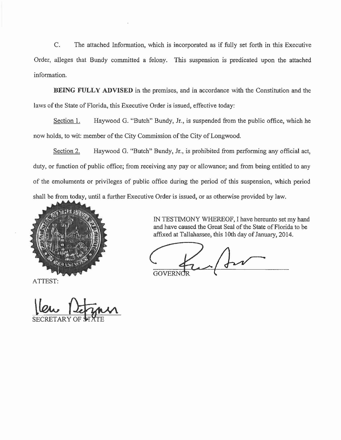C. The attached Information, which is incorporated as if fully set forth in this Executive Order, alleges that Bundy committed a felony. This suspension is predicated upon the attached information.

**BEING FULLY ADVISED** in the premises, and in accordance with the Constitution and the laws of the State of Florida, this Executive Order is issued, effective today:

Section 1. Haywood G. "Butch" Bundy, Jr., is suspended from the public office, which he now holds, to wit: member of the City Commission of the City of Longwood.

Section 2. Haywood G. "Butch" Bundy, Jr., is prohibited from performing any official act, duty, or function of public office; from receiving any pay or allowance; and from being entitled to any of the emoluments or privileges of public office during the period of this suspension, which period shall be from today, until a further Executive Order is issued, or as otherwise provided by law.



ATTEST:

and have caused the Great Seal of the State of Florida to be affixed at Tallahassee, this lOth day of January, 2014.

IN TESTIMONY WHEREOF, I have hereunto set my hand

 $\sqrt{2}$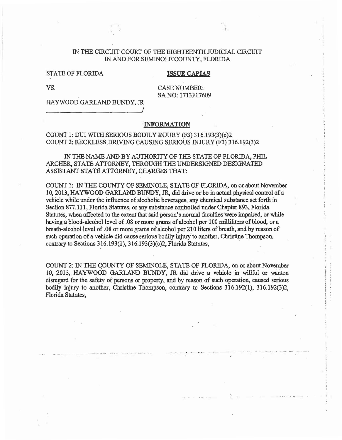### IN THE CIRCUIT COURT OF THE EIGHTEENTH JUDICIAL CIRCUIT IN AND FOR SEMINOLE COUNTY, FLORIDA

STATE OF FLORIDA **ISSUE CAPIAS** 

vs. CASE NUMBER: SA NO: 1713Fl7609

HAYWOOD GARLAND BUNDY, JR

----------------------~/

--. ·-- · -·-··--··-· ·-·- ··-- ..... --. -

### INFORMATION

### COUNT 1: DUI WITH SERIOUS BODILY INJURY (F3) 316.193(3)(c)2 COUNT 2: RECKLESS DRIVING CAUSING SERIOUS INJURY (F3) 316.192(3)2

IN THE NAME AND BY AUffiORITY OF THE STATE OF FLORIDA, PHIL ~CHER, STATE ATTORNEY, THROUGH TilE UNDERSIGNED DESIGNATED ASSISTANT STATE ATTORNEY, CHARGES THAT:

COUNT 1: IN THE COUNTY OF SEMINOLE, STATE OF FLORIDA, on or about November 10, 2013, HAYWOOD GARLAND BUNDY, JR, did drive or be in actual physical control of a vehicle while under the influence of alcoholic beverages, any chemical substance set forth in Section 877.111, Florida Statutes, or any substance controlled under Chapter 893, Florida Statutes, when affected to the extent that said person's normal faculties were impaired, or while having a blood-alcohol level of .08 or more grams of alcohol per 100 milliliters of blood, or a breath-alcohol level of .08 or more grams of alcohol per 210 liters of breath, and by reason of such operation of a vehicle did cause serious bodily injury to another, Christine Thompson, contrary to Sections 316.193(1), 316.193(3)(c)2, Florida Statutes,

COUNT 2: IN THE COUNTY OF SEMINOLE, STATE OF FLORIDA, on or about November 10, 2013, HAYWOOD GARLAND BUNDY, JR did drive a vehicle in willful or wanton disregard for the safety of persons or property, and by reason of such operation, caused serious bodily injury to another, Christine Thompson, contrary to Sections 316.192(1), 316.192(3)2, Florida Statutes,